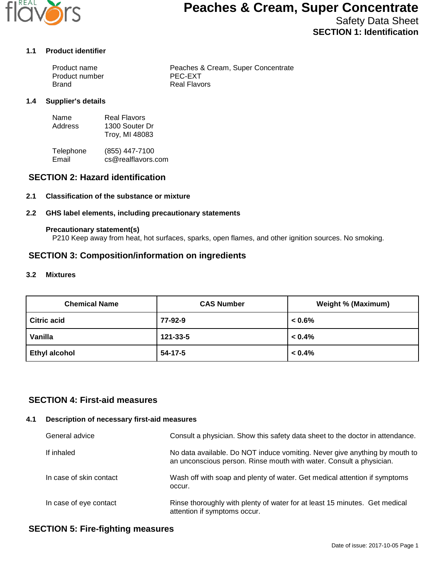

# **Peaches & Cream, Super Concentrate**

Safety Data Sheet **SECTION 1: Identification**

#### **1.1 Product identifier**

| Product name   | Peaches & Cream, Super Concentrate |
|----------------|------------------------------------|
| Product number | PEC-EXT                            |
| Brand          | Real Flavors                       |

#### **1.4 Supplier's details**

| Name    | Real Flavors   |
|---------|----------------|
| Address | 1300 Souter Dr |
|         | Troy, MI 48083 |

Telephone (855) 447-7100<br>Email cs@realflavors. cs@realflavors.com

## **SECTION 2: Hazard identification**

#### **2.1 Classification of the substance or mixture**

#### **2.2 GHS label elements, including precautionary statements**

#### **Precautionary statement(s)**

P210 Keep away from heat, hot surfaces, sparks, open flames, and other ignition sources. No smoking.

## **SECTION 3: Composition/information on ingredients**

#### **3.2 Mixtures**

| <b>Chemical Name</b> | <b>CAS Number</b> | <b>Weight % (Maximum)</b> |
|----------------------|-------------------|---------------------------|
| <b>Citric acid</b>   | 77-92-9           | $0.6\%$                   |
| Vanilla              | 121-33-5          | $< 0.4\%$                 |
| <b>Ethyl alcohol</b> | 54-17-5           | $< 0.4\%$                 |

## **SECTION 4: First-aid measures**

#### **4.1 Description of necessary first-aid measures**

| General advice          | Consult a physician. Show this safety data sheet to the doctor in attendance.                                                                     |
|-------------------------|---------------------------------------------------------------------------------------------------------------------------------------------------|
| If inhaled              | No data available. Do NOT induce vomiting. Never give anything by mouth to<br>an unconscious person. Rinse mouth with water. Consult a physician. |
| In case of skin contact | Wash off with soap and plenty of water. Get medical attention if symptoms<br>occur.                                                               |
| In case of eye contact  | Rinse thoroughly with plenty of water for at least 15 minutes. Get medical<br>attention if symptoms occur.                                        |

## **SECTION 5: Fire-fighting measures**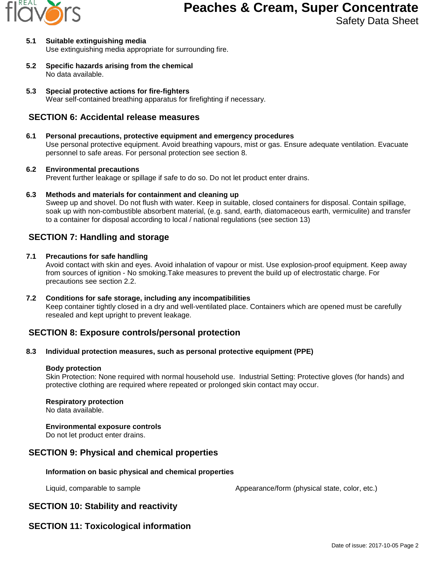

- **5.1 Suitable extinguishing media** Use extinguishing media appropriate for surrounding fire.
- **5.2 Specific hazards arising from the chemical** No data available.
- **5.3 Special protective actions for fire-fighters** Wear self-contained breathing apparatus for firefighting if necessary.

## **SECTION 6: Accidental release measures**

## **6.1 Personal precautions, protective equipment and emergency procedures**

Use personal protective equipment. Avoid breathing vapours, mist or gas. Ensure adequate ventilation. Evacuate personnel to safe areas. For personal protection see section 8.

### **6.2 Environmental precautions**

Prevent further leakage or spillage if safe to do so. Do not let product enter drains.

**6.3 Methods and materials for containment and cleaning up**

Sweep up and shovel. Do not flush with water. Keep in suitable, closed containers for disposal. Contain spillage, soak up with non-combustible absorbent material, (e.g. sand, earth, diatomaceous earth, vermiculite) and transfer to a container for disposal according to local / national regulations (see section 13)

## **SECTION 7: Handling and storage**

### **7.1 Precautions for safe handling**

Avoid contact with skin and eyes. Avoid inhalation of vapour or mist. Use explosion-proof equipment. Keep away from sources of ignition - No smoking.Take measures to prevent the build up of electrostatic charge. For precautions see section 2.2.

**7.2 Conditions for safe storage, including any incompatibilities** Keep container tightly closed in a dry and well-ventilated place. Containers which are opened must be carefully resealed and kept upright to prevent leakage.

# **SECTION 8: Exposure controls/personal protection**

#### **8.3 Individual protection measures, such as personal protective equipment (PPE)**

#### **Body protection**

Skin Protection: None required with normal household use. Industrial Setting: Protective gloves (for hands) and protective clothing are required where repeated or prolonged skin contact may occur.

#### **Respiratory protection**

No data available.

#### **Environmental exposure controls**

Do not let product enter drains.

## **SECTION 9: Physical and chemical properties**

## **Information on basic physical and chemical properties**

Liquid, comparable to sample  $\blacksquare$  Appearance/form (physical state, color, etc.)

# **SECTION 10: Stability and reactivity**

# **SECTION 11: Toxicological information**